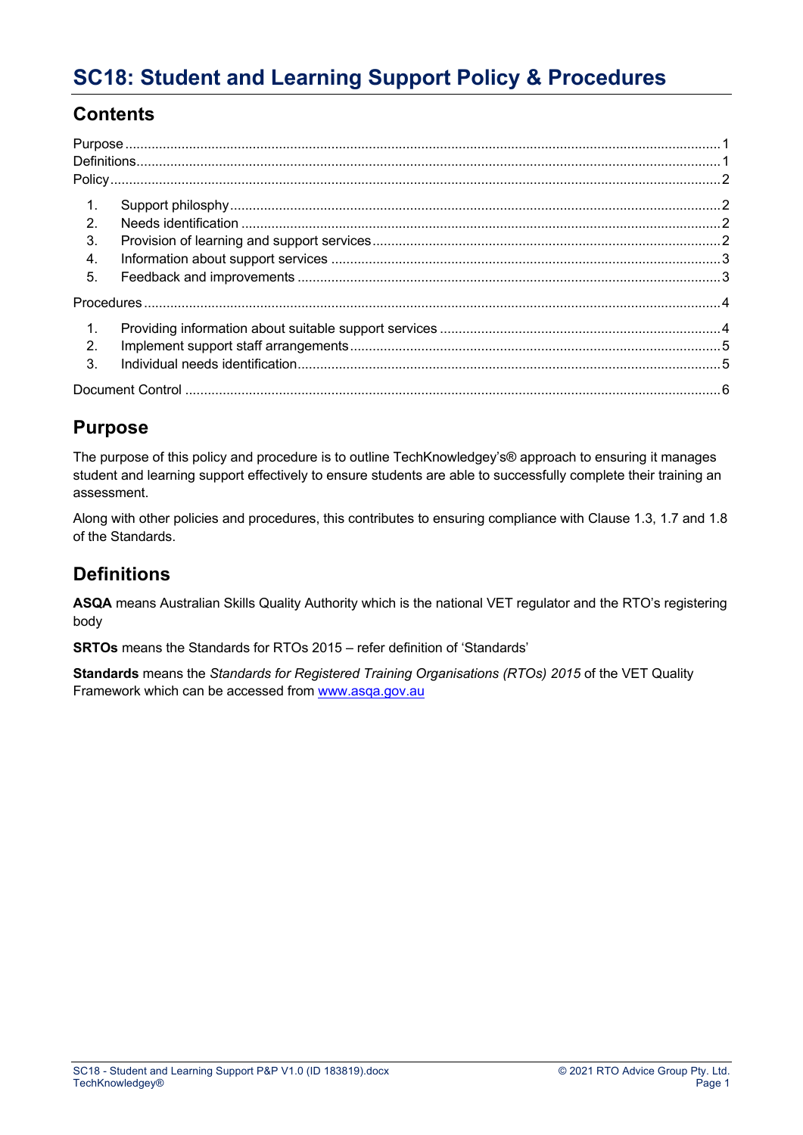## **Contents**

| $\mathbf{1}$ .   |  |
|------------------|--|
| 2                |  |
| 3.               |  |
| 4.               |  |
| 5.               |  |
|                  |  |
| $\mathbf{1}$ .   |  |
| $\overline{2}$ . |  |
| 3.               |  |
|                  |  |
|                  |  |

## **Purpose**

The purpose of this policy and procedure is to outline TechKnowledgey's® approach to ensuring it manages student and learning support effectively to ensure students are able to successfully complete their training an assessment.

Along with other policies and procedures, this contributes to ensuring compliance with Clause 1.3, 1.7 and 1.8 of the Standards.

## **Definitions**

**ASQA** means Australian Skills Quality Authority which is the national VET regulator and the RTO's registering body

**SRTOs** means the Standards for RTOs 2015 – refer definition of 'Standards'

**Standards** means the *Standards for Registered Training Organisations (RTOs) 2015* of the VET Quality Framework which can be accessed from www.asqa.gov.au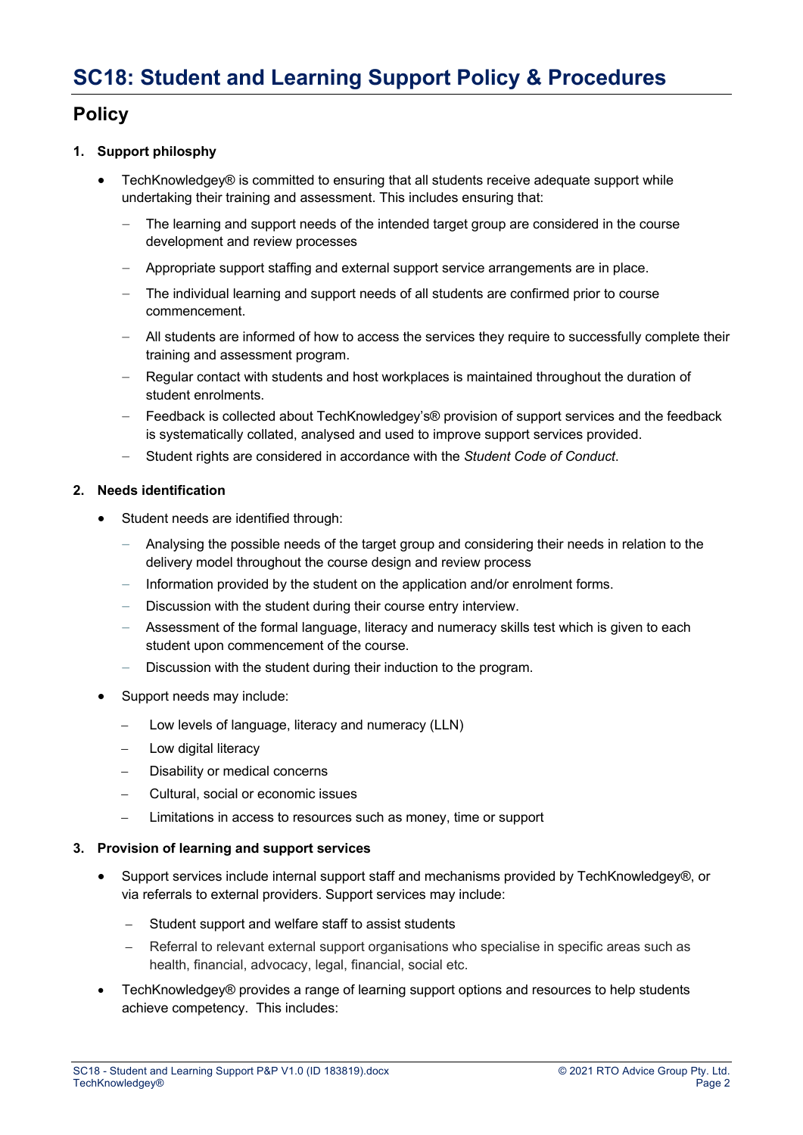## **Policy**

### **1. Support philosphy**

- TechKnowledgey® is committed to ensuring that all students receive adequate support while undertaking their training and assessment. This includes ensuring that:
	- ‒ The learning and support needs of the intended target group are considered in the course development and review processes
	- ‒ Appropriate support staffing and external support service arrangements are in place.
	- ‒ The individual learning and support needs of all students are confirmed prior to course commencement.
	- ‒ All students are informed of how to access the services they require to successfully complete their training and assessment program.
	- ‒ Regular contact with students and host workplaces is maintained throughout the duration of student enrolments.
	- ‒ Feedback is collected about TechKnowledgey's® provision of support services and the feedback is systematically collated, analysed and used to improve support services provided.
	- ‒ Student rights are considered in accordance with the *Student Code of Conduct*.

#### **2. Needs identification**

- Student needs are identified through:
	- ‒ Analysing the possible needs of the target group and considering their needs in relation to the delivery model throughout the course design and review process
	- ‒ Information provided by the student on the application and/or enrolment forms.
	- ‒ Discussion with the student during their course entry interview.
	- ‒ Assessment of the formal language, literacy and numeracy skills test which is given to each student upon commencement of the course.
	- $\overline{-}$  Discussion with the student during their induction to the program.
- Support needs may include:
	- Low levels of language, literacy and numeracy (LLN)
	- Low digital literacy
	- Disability or medical concerns
	- Cultural, social or economic issues
	- Limitations in access to resources such as money, time or support

#### **3. Provision of learning and support services**

- Support services include internal support staff and mechanisms provided by TechKnowledgey®, or via referrals to external providers. Support services may include:
	- Student support and welfare staff to assist students
	- Referral to relevant external support organisations who specialise in specific areas such as health, financial, advocacy, legal, financial, social etc.
- TechKnowledgey® provides a range of learning support options and resources to help students achieve competency. This includes: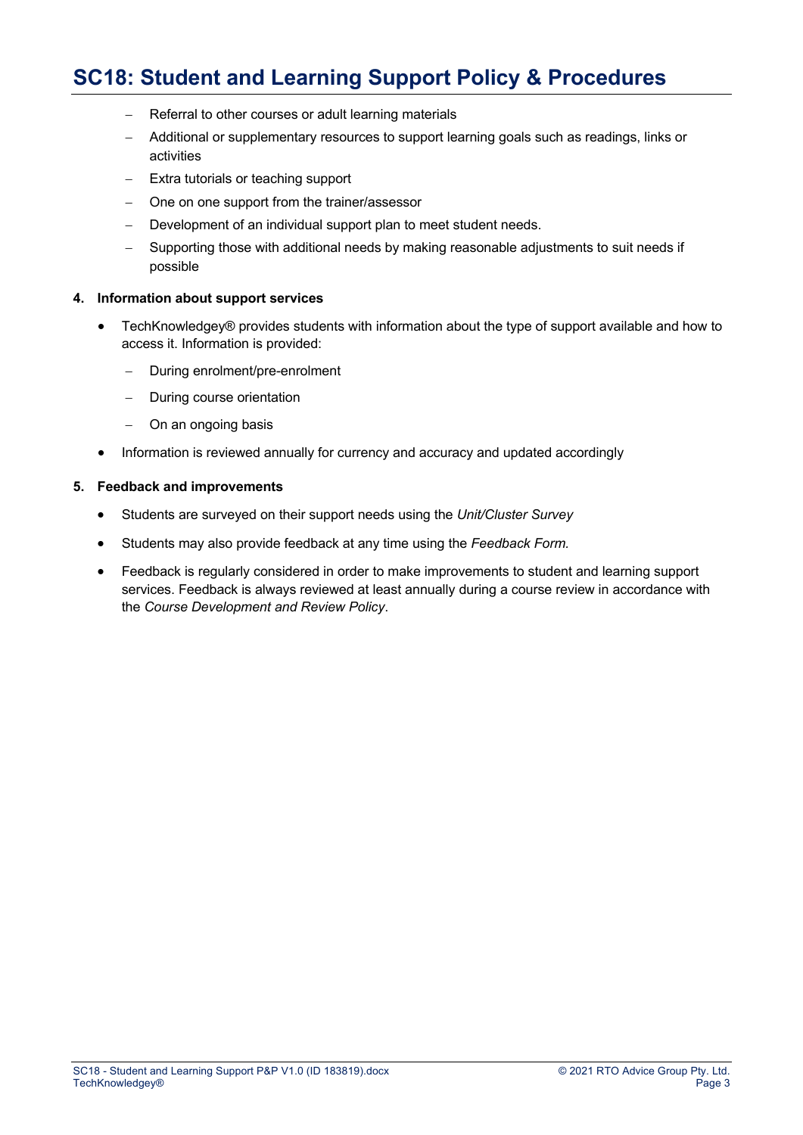- Referral to other courses or adult learning materials
- Additional or supplementary resources to support learning goals such as readings, links or activities
- Extra tutorials or teaching support
- One on one support from the trainer/assessor
- Development of an individual support plan to meet student needs.
- Supporting those with additional needs by making reasonable adjustments to suit needs if possible

#### **4. Information about support services**

- TechKnowledgey® provides students with information about the type of support available and how to access it. Information is provided:
	- During enrolment/pre-enrolment
	- During course orientation
	- On an ongoing basis
- Information is reviewed annually for currency and accuracy and updated accordingly

#### **5. Feedback and improvements**

- Students are surveyed on their support needs using the *Unit/Cluster Survey*
- Students may also provide feedback at any time using the *Feedback Form.*
- Feedback is regularly considered in order to make improvements to student and learning support services. Feedback is always reviewed at least annually during a course review in accordance with the *Course Development and Review Policy*.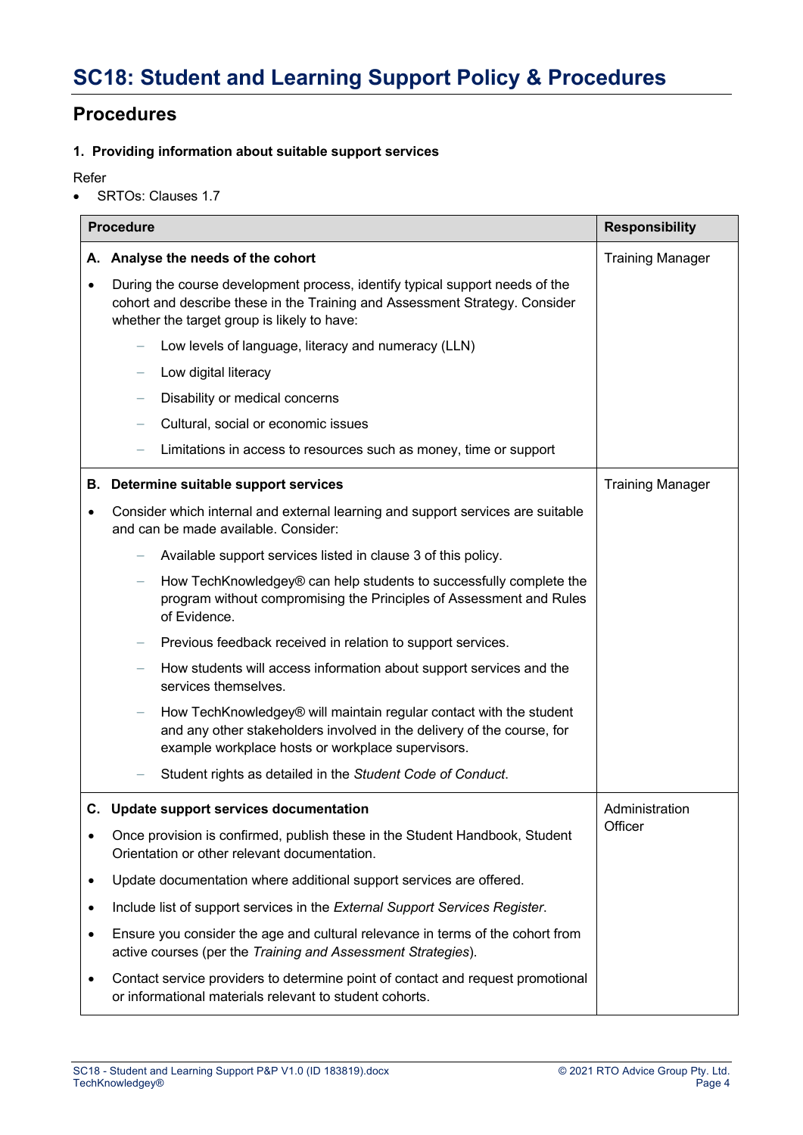## **Procedures**

### **1. Providing information about suitable support services**

Refer

• SRTOs: Clauses 1.7

| <b>Procedure</b> |                                                                                                                                                                                                            | <b>Responsibility</b>   |
|------------------|------------------------------------------------------------------------------------------------------------------------------------------------------------------------------------------------------------|-------------------------|
|                  | A. Analyse the needs of the cohort                                                                                                                                                                         | <b>Training Manager</b> |
| $\bullet$        | During the course development process, identify typical support needs of the<br>cohort and describe these in the Training and Assessment Strategy. Consider<br>whether the target group is likely to have: |                         |
|                  | Low levels of language, literacy and numeracy (LLN)                                                                                                                                                        |                         |
|                  | Low digital literacy                                                                                                                                                                                       |                         |
|                  | Disability or medical concerns                                                                                                                                                                             |                         |
|                  | Cultural, social or economic issues                                                                                                                                                                        |                         |
|                  | Limitations in access to resources such as money, time or support                                                                                                                                          |                         |
|                  | <b>B.</b> Determine suitable support services                                                                                                                                                              | <b>Training Manager</b> |
| $\bullet$        | Consider which internal and external learning and support services are suitable<br>and can be made available. Consider:                                                                                    |                         |
|                  | Available support services listed in clause 3 of this policy.                                                                                                                                              |                         |
|                  | How TechKnowledgey® can help students to successfully complete the<br>program without compromising the Principles of Assessment and Rules<br>of Evidence.                                                  |                         |
|                  | Previous feedback received in relation to support services.                                                                                                                                                |                         |
|                  | How students will access information about support services and the<br>services themselves.                                                                                                                |                         |
|                  | How TechKnowledgey® will maintain regular contact with the student<br>and any other stakeholders involved in the delivery of the course, for<br>example workplace hosts or workplace supervisors.          |                         |
|                  | Student rights as detailed in the Student Code of Conduct.                                                                                                                                                 |                         |
|                  | C. Update support services documentation                                                                                                                                                                   | Administration          |
| $\bullet$        | Once provision is confirmed, publish these in the Student Handbook, Student<br>Orientation or other relevant documentation.                                                                                | Officer                 |
| $\bullet$        | Update documentation where additional support services are offered.                                                                                                                                        |                         |
| $\bullet$        | Include list of support services in the External Support Services Register.                                                                                                                                |                         |
| $\bullet$        | Ensure you consider the age and cultural relevance in terms of the cohort from<br>active courses (per the Training and Assessment Strategies).                                                             |                         |
| $\bullet$        | Contact service providers to determine point of contact and request promotional<br>or informational materials relevant to student cohorts.                                                                 |                         |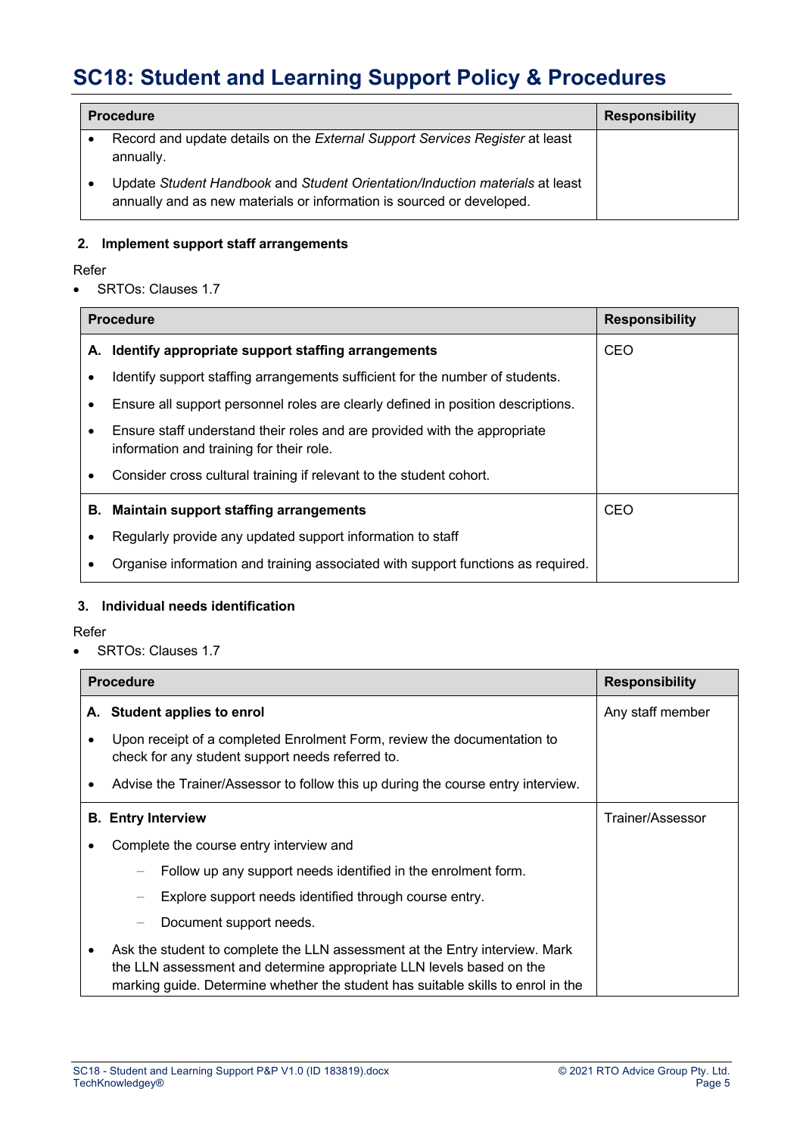| <b>Procedure</b>                                                                                                                                      | <b>Responsibility</b> |
|-------------------------------------------------------------------------------------------------------------------------------------------------------|-----------------------|
| Record and update details on the External Support Services Register at least<br>annually.                                                             |                       |
| Update Student Handbook and Student Orientation/Induction materials at least<br>annually and as new materials or information is sourced or developed. |                       |

### **2. Implement support staff arrangements**

### Refer

• SRTOs: Clauses 1.7

|           | <b>Procedure</b><br><b>Responsibility</b>                                                                             |            |  |
|-----------|-----------------------------------------------------------------------------------------------------------------------|------------|--|
|           | A. Identify appropriate support staffing arrangements                                                                 | <b>CEO</b> |  |
| ٠         | Identify support staffing arrangements sufficient for the number of students.                                         |            |  |
| $\bullet$ | Ensure all support personnel roles are clearly defined in position descriptions.                                      |            |  |
| ٠         | Ensure staff understand their roles and are provided with the appropriate<br>information and training for their role. |            |  |
| ٠         | Consider cross cultural training if relevant to the student cohort.                                                   |            |  |
| В.        | <b>Maintain support staffing arrangements</b>                                                                         | <b>CEO</b> |  |
| ٠         | Regularly provide any updated support information to staff                                                            |            |  |
|           | Organise information and training associated with support functions as required.                                      |            |  |

### **3. Individual needs identification**

### Refer

• SRTOs: Clauses 1.7

|                           | <b>Procedure</b><br><b>Responsibility</b>                                                                                                                                                                                               |                  |
|---------------------------|-----------------------------------------------------------------------------------------------------------------------------------------------------------------------------------------------------------------------------------------|------------------|
|                           | A. Student applies to enrol                                                                                                                                                                                                             | Any staff member |
|                           | Upon receipt of a completed Enrolment Form, review the documentation to<br>check for any student support needs referred to.                                                                                                             |                  |
| ٠                         | Advise the Trainer/Assessor to follow this up during the course entry interview.                                                                                                                                                        |                  |
| <b>B.</b> Entry Interview |                                                                                                                                                                                                                                         | Trainer/Assessor |
|                           | Complete the course entry interview and                                                                                                                                                                                                 |                  |
|                           | Follow up any support needs identified in the enrolment form.                                                                                                                                                                           |                  |
|                           | Explore support needs identified through course entry.                                                                                                                                                                                  |                  |
|                           | Document support needs.                                                                                                                                                                                                                 |                  |
| $\bullet$                 | Ask the student to complete the LLN assessment at the Entry interview. Mark<br>the LLN assessment and determine appropriate LLN levels based on the<br>marking guide. Determine whether the student has suitable skills to enrol in the |                  |